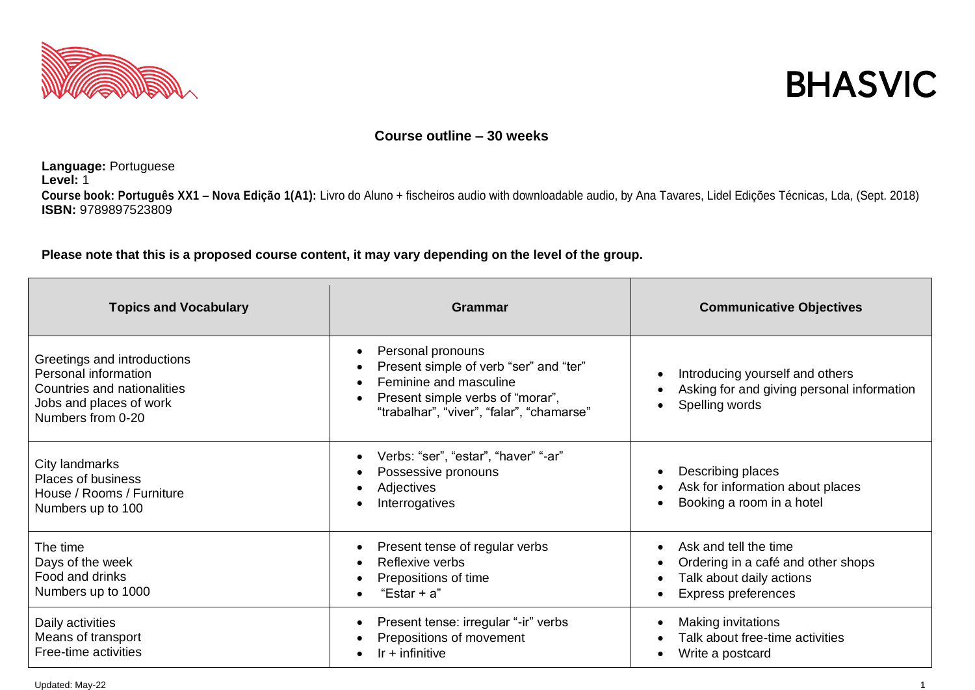



## **Course outline – 30 weeks**

**Language:** Portuguese **Level:** 1 **Course book: Português XX1 – Nova Edição 1(A1):** Livro do Aluno + fischeiros audio with downloadable audio, by Ana Tavares, Lidel Edições Técnicas, Lda, (Sept. 2018)  **ISBN:** 9789897523809

**Please note that this is a proposed course content, it may vary depending on the level of the group.**

| <b>Topics and Vocabulary</b>                                                                                                              | Grammar                                                                                                                                                                                                                    | <b>Communicative Objectives</b>                                                                                       |
|-------------------------------------------------------------------------------------------------------------------------------------------|----------------------------------------------------------------------------------------------------------------------------------------------------------------------------------------------------------------------------|-----------------------------------------------------------------------------------------------------------------------|
| Greetings and introductions<br>Personal information<br><b>Countries and nationalities</b><br>Jobs and places of work<br>Numbers from 0-20 | Personal pronouns<br>$\bullet$<br>Present simple of verb "ser" and "ter"<br>$\bullet$<br>Feminine and masculine<br>$\bullet$<br>Present simple verbs of "morar",<br>$\bullet$<br>"trabalhar", "viver", "falar", "chamarse" | Introducing yourself and others<br>Asking for and giving personal information<br>Spelling words                       |
| City landmarks<br><b>Places of business</b><br>House / Rooms / Furniture<br>Numbers up to 100                                             | Verbs: "ser", "estar", "haver" "-ar"<br>$\bullet$<br>Possessive pronouns<br>$\bullet$<br>Adjectives<br>٠<br>Interrogatives                                                                                                 | Describing places<br>Ask for information about places<br>Booking a room in a hotel                                    |
| The time<br>Days of the week<br>Food and drinks<br>Numbers up to 1000                                                                     | Present tense of regular verbs<br>$\bullet$<br>Reflexive verbs<br>$\bullet$<br>Prepositions of time<br>"Estar + $a$ "                                                                                                      | Ask and tell the time<br>Ordering in a café and other shops<br>Talk about daily actions<br><b>Express preferences</b> |
| Daily activities<br>Means of transport<br>Free-time activities                                                                            | Present tense: irregular "-ir" verbs<br>$\bullet$<br>Prepositions of movement<br>Ir $+$ infinitive<br>$\bullet$                                                                                                            | Making invitations<br>Talk about free-time activities<br>Write a postcard                                             |